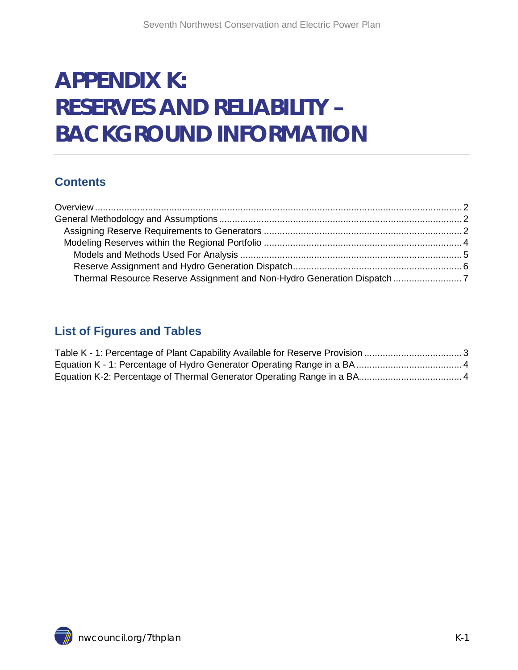# **APPENDIX K: RESERVES AND RELIABILITY – BACKGROUND INFORMATION**

### **Contents**

| Thermal Resource Reserve Assignment and Non-Hydro Generation Dispatch7 |  |
|------------------------------------------------------------------------|--|

### **List of Figures and Tables**

<span id="page-0-0"></span>

<span id="page-0-1"></span>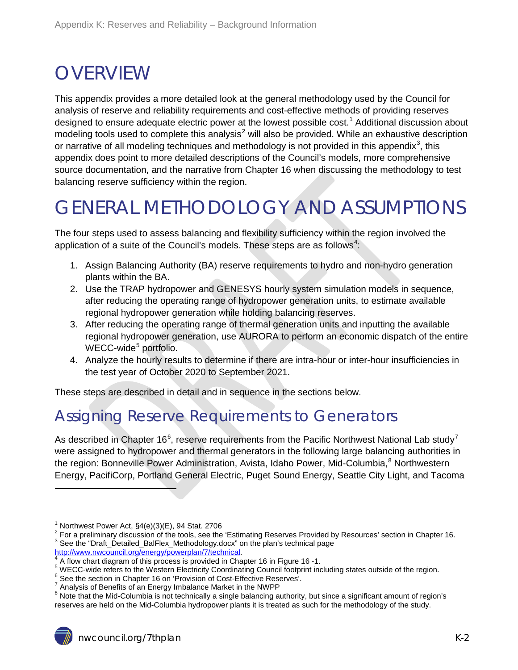# **OVERVIEW**

This appendix provides a more detailed look at the general methodology used by the Council for analysis of reserve and reliability requirements and cost-effective methods of providing reserves designed to ensure adequate electric power at the lowest possible cost.<sup>[1](#page-0-1)</sup> Additional discussion about modeling tools used to complete this analysis $2$  will also be provided. While an exhaustive description or narrative of all modeling techniques and methodology is not provided in this appendix<sup>[3](#page-1-3)</sup>, this appendix does point to more detailed descriptions of the Council's models, more comprehensive source documentation, and the narrative from Chapter 16 when discussing the methodology to test balancing reserve sufficiency within the region.

## <span id="page-1-0"></span>GENERAL METHODOLOGY AND ASSUMPTIONS

The four steps used to assess balancing and flexibility sufficiency within the region involved the application of a suite of the Council's models. These steps are as follows<sup>[4](#page-1-4)</sup>:

- 1. Assign Balancing Authority (BA) reserve requirements to hydro and non-hydro generation plants within the BA.
- 2. Use the TRAP hydropower and GENESYS hourly system simulation models in sequence, after reducing the operating range of hydropower generation units, to estimate available regional hydropower generation while holding balancing reserves.
- 3. After reducing the operating range of thermal generation units and inputting the available regional hydropower generation, use AURORA to perform an economic dispatch of the entire WECC-wide<sup>[5](#page-1-5)</sup> portfolio.
- <span id="page-1-9"></span>4. Analyze the hourly results to determine if there are intra-hour or inter-hour insufficiencies in the test year of October 2020 to September 2021.

These steps are described in detail and in sequence in the sections below.

## <span id="page-1-1"></span>Assigning Reserve Requirements to Generators

As described in Chapter 1[6](#page-1-6)<sup>6</sup>, reserve requirements from the Pacific Northwest National Lab study<sup>[7](#page-1-7)</sup> were assigned to hydropower and thermal generators in the following large balancing authorities in the region: Bonneville Power Administration, Avista, Idaho Power, Mid-Columbia, <sup>[8](#page-1-8)</sup> Northwestern Energy, PacifiCorp, Portland General Electric, Puget Sound Energy, Seattle City Light, and Tacoma

<span id="page-1-2"></span><sup>&</sup>lt;sup>1</sup> Northwest Power Act, §4(e)(3)(E), 94 Stat. 2706<br><sup>2</sup> For a preliminary discussion of the tools, see the 'Estimating Reserves Provided by Resources' section in Chapter 16.<br><sup>3</sup> See the "Draft\_Detailed\_BalFlex\_Methodology

<span id="page-1-4"></span>

<span id="page-1-3"></span>[http://www.nwcouncil.org/energy/powerplan/7/technical.](http://www.nwcouncil.org/energy/powerplan/7/technical)<br>
<sup>4</sup> A flow chart diagram of this process is provided in Chapter 16 in Figure 16 -1.<br>
<sup>5</sup> WECC-wide refers to the Western Electricity Coordinating Council footprint in

<span id="page-1-6"></span><span id="page-1-5"></span>

<span id="page-1-8"></span><span id="page-1-7"></span><sup>&</sup>lt;sup>8</sup> Note that the Mid-Columbia is not technically a single balancing authority, but since a significant amount of region's reserves are held on the Mid-Columbia hydropower plants it is treated as such for the methodology of the study.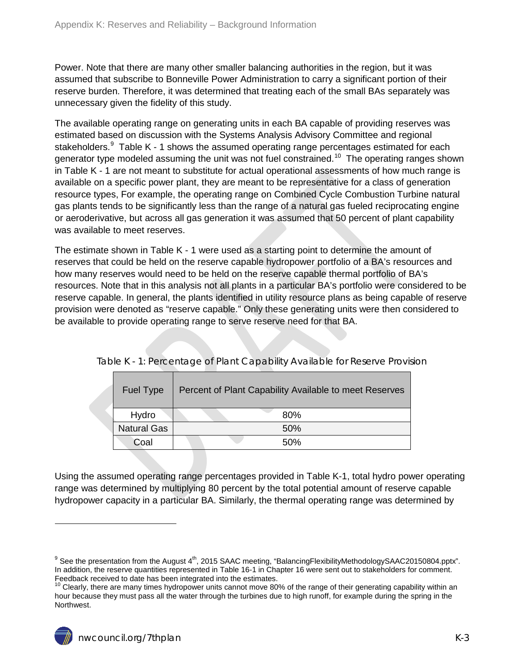Power. Note that there are many other smaller balancing authorities in the region, but it was assumed that subscribe to Bonneville Power Administration to carry a significant portion of their reserve burden. Therefore, it was determined that treating each of the small BAs separately was unnecessary given the fidelity of this study.

The available operating range on generating units in each BA capable of providing reserves was estimated based on discussion with the Systems Analysis Advisory Committee and regional stakeholders. $9$  Table K - 1 shows the assumed operating range percentages estimated for each generator type modeled assuming the unit was not fuel constrained.<sup>[10](#page-2-1)</sup> The operating ranges shown in [Table K](#page-2-0) - 1 are not meant to substitute for actual operational assessments of how much range is available on a specific power plant, they are meant to be representative for a class of generation resource types, For example, the operating range on Combined Cycle Combustion Turbine natural gas plants tends to be significantly less than the range of a natural gas fueled reciprocating engine or aeroderivative, but across all gas generation it was assumed that 50 percent of plant capability was available to meet reserves.

The estimate shown in Table K - 1 were used as a starting point to determine the amount of reserves that could be held on the reserve capable hydropower portfolio of a BA's resources and how many reserves would need to be held on the reserve capable thermal portfolio of BA's resources. Note that in this analysis not all plants in a particular BA's portfolio were considered to be reserve capable. In general, the plants identified in utility resource plans as being capable of reserve provision were denoted as "reserve capable." Only these generating units were then considered to be available to provide operating range to serve reserve need for that BA.

| <b>Fuel Type</b>   | Percent of Plant Capability Available to meet Reserves |
|--------------------|--------------------------------------------------------|
| Hydro              | 80%                                                    |
| <b>Natural Gas</b> | 50%                                                    |
| Coal               | .50%                                                   |

<span id="page-2-0"></span>Table K - 1: Percentage of Plant Capability Available for Reserve Provision

Using the assumed operating range percentages provided in [Table K-1,](#page-2-0) total hydro power operating range was determined by multiplying 80 percent by the total potential amount of reserve capable hydropower capacity in a particular BA. Similarly, the thermal operating range was determined by

 $9$  See the presentation from the August 4<sup>th</sup>, 2015 SAAC meeting, "BalancingFlexibilityMethodologySAAC20150804.pptx". In addition, the reserve quantities represented in Table 16-1 in Chapter 16 were sent out to stakeholders for comment.<br>Feedback received to date has been integrated into the estimates.

<span id="page-2-2"></span><span id="page-2-1"></span> $10$  Clearly, there are many times hydropower units cannot move 80% of the range of their generating capability within an hour because they must pass all the water through the turbines due to high runoff, for example during the spring in the Northwest.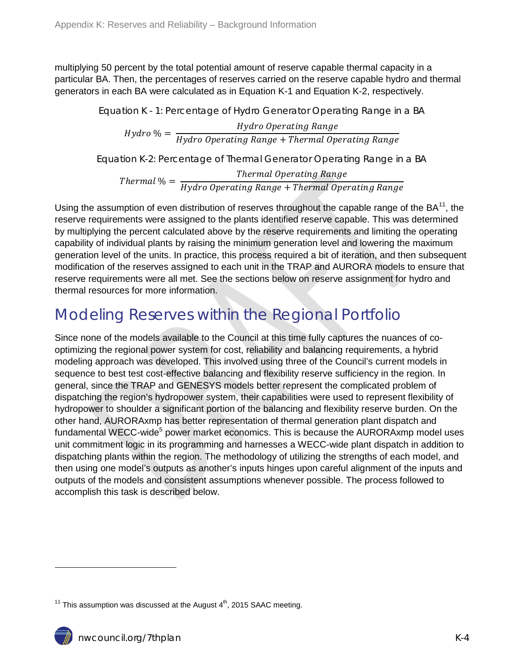<span id="page-3-1"></span>multiplying 50 percent by the total potential amount of reserve capable thermal capacity in a particular BA. Then, the percentages of reserves carried on the reserve capable hydro and thermal generators in each BA were calculated as in [Equation K-1](#page-3-1) and [Equation K-2,](#page-3-2) respectively.

> Equation K - 1: Percentage of Hydro Generator Operating Range in a BA Hydro Operating Range<br>Hydro <sup>9</sup>/<sub>Hydro</sub> Operating Range + Thermal Operating Range

> <span id="page-3-2"></span>Equation K-2: Percentage of Thermal Generator Operating Range in a BA

 $\emph{Thermal Operating Range} \ \emph{Thermal Operating Range} \ \emph{Hydro Operating Range} + \emph{Thermal Operating Range}$ 

Using the assumption of even distribution of reserves throughout the capable range of the  $BA^{11}$ , the reserve requirements were assigned to the plants identified reserve capable. This was determined by multiplying the percent calculated above by the reserve requirements and limiting the operating capability of individual plants by raising the minimum generation level and lowering the maximum generation level of the units. In practice, this process required a bit of iteration, and then subsequent modification of the reserves assigned to each unit in the TRAP and AURORA models to ensure that reserve requirements were all met. See the sections below on reserve assignment for hydro and thermal resources for more information.

## <span id="page-3-0"></span>Modeling Reserves within the Regional Portfolio

Since none of the models available to the Council at this time fully captures the nuances of cooptimizing the regional power system for cost, reliability and balancing requirements, a hybrid modeling approach was developed. This involved using three of the Council's current models in sequence to best test cost-effective balancing and flexibility reserve sufficiency in the region. In general, since the TRAP and GENESYS models better represent the complicated problem of dispatching the region's hydropower system, their capabilities were used to represent flexibility of hydropower to shoulder a significant portion of the balancing and flexibility reserve burden. On the other hand, AURORAxmp has better representation of thermal generation plant dispatch and fundamental WECC-wide<sup>5</sup> power market economics. This is because the AURORAxmp model uses unit commitment logic in its programming and harnesses a WECC-wide plant dispatch in addition to dispatching plants within the region. The methodology of utilizing the strengths of each model, and then using one model's outputs as another's inputs hinges upon careful alignment of the inputs and outputs of the models and consistent assumptions whenever possible. The process followed to accomplish this task is described below.

<span id="page-3-3"></span><sup>&</sup>lt;sup>11</sup> This assumption was discussed at the August  $4<sup>th</sup>$ , 2015 SAAC meeting.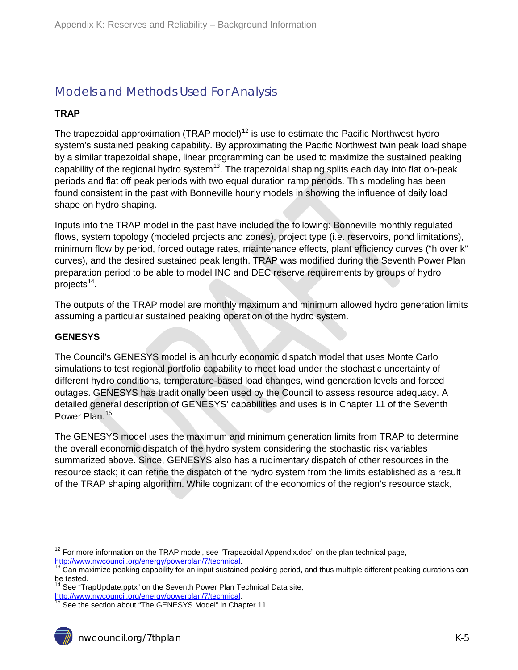### <span id="page-4-0"></span>Models and Methods Used For Analysis

#### **TRAP**

The trapezoidal approximation (TRAP model)<sup>[12](#page-3-3)</sup> is use to estimate the Pacific Northwest hydro system's sustained peaking capability. By approximating the Pacific Northwest twin peak load shape by a similar trapezoidal shape, linear programming can be used to maximize the sustained peaking capability of the regional hydro system<sup>[13](#page-4-1)</sup>. The trapezoidal shaping splits each day into flat on-peak periods and flat off peak periods with two equal duration ramp periods. This modeling has been found consistent in the past with Bonneville hourly models in showing the influence of daily load shape on hydro shaping.

Inputs into the TRAP model in the past have included the following: Bonneville monthly regulated flows, system topology (modeled projects and zones), project type (i.e. reservoirs, pond limitations), minimum flow by period, forced outage rates, maintenance effects, plant efficiency curves ("h over k" curves), and the desired sustained peak length. TRAP was modified during the Seventh Power Plan preparation period to be able to model INC and DEC reserve requirements by groups of hydro projects $14$ .

The outputs of the TRAP model are monthly maximum and minimum allowed hydro generation limits assuming a particular sustained peaking operation of the hydro system.

#### **GENESYS**

 $\overline{a}$ 

The Council's GENESYS model is an hourly economic dispatch model that uses Monte Carlo simulations to test regional portfolio capability to meet load under the stochastic uncertainty of different hydro conditions, temperature-based load changes, wind generation levels and forced outages. GENESYS has traditionally been used by the Council to assess resource adequacy. A detailed general description of GENESYS' capabilities and uses is in Chapter 11 of the Seventh Power Plan.<sup>[15](#page-4-3)</sup>

The GENESYS model uses the maximum and minimum generation limits from TRAP to determine the overall economic dispatch of the hydro system considering the stochastic risk variables summarized above. Since, GENESYS also has a rudimentary dispatch of other resources in the resource stack; it can refine the dispatch of the hydro system from the limits established as a result of the TRAP shaping algorithm. While cognizant of the economics of the region's resource stack,

 $12$  For more information on the TRAP model, see "Trapezoidal Appendix.doc" on the plan technical page, [http://www.nwcouncil.org/energy/powerplan/7/technical.](http://www.nwcouncil.org/energy/powerplan/7/technical)<br><sup>13</sup> Can maximize peaking capability for an input sustained peaking period, and thus multiple different peaking durations can

<span id="page-4-1"></span>be tested.

<span id="page-4-2"></span><sup>&</sup>lt;sup>14</sup> See "TrapUpdate.pptx" on the Seventh Power Plan Technical Data site, [http://www.nwcouncil.org/energy/powerplan/7/technical.](http://www.nwcouncil.org/energy/powerplan/7/technical)<br><sup>15</sup> See the section about "The GENESYS Model" in Chapter 11.

<span id="page-4-3"></span>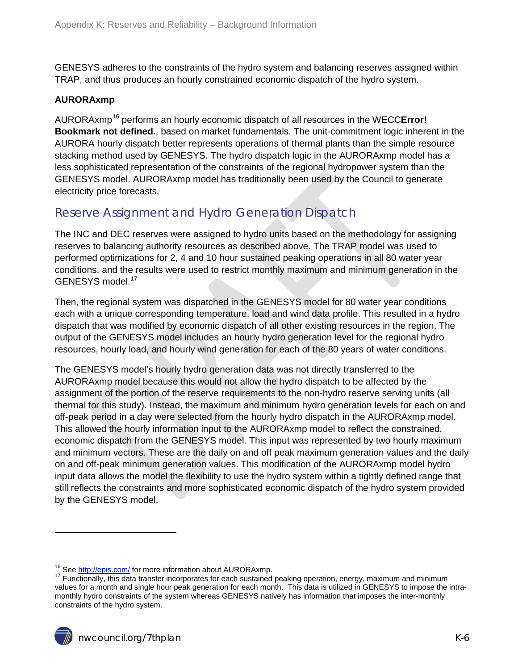GENESYS adheres to the constraints of the hydro system and balancing reserves assigned within TRAP, and thus produces an hourly constrained economic dispatch of the hydro system.

#### **AURORAxmp**

AURORAxmp[16](#page-4-1) performs an hourly economic dispatch of all resources in the WECC**Error! Bookmark not defined.**, based on market fundamentals. The unit-commitment logic inherent in the AURORA hourly dispatch better represents operations of thermal plants than the simple resource stacking method used by GENESYS. The hydro dispatch logic in the AURORAxmp model has a less sophisticated representation of the constraints of the regional hydropower system than the GENESYS model. AURORAxmp model has traditionally been used by the Council to generate electricity price forecasts.

#### <span id="page-5-0"></span>Reserve Assignment and Hydro Generation Dispatch

The INC and DEC reserves were assigned to hydro units based on the methodology for assigning reserves to balancing authority resources as described above. The TRAP model was used to performed optimizations for 2, 4 and 10 hour sustained peaking operations in all 80 water year conditions, and the results were used to restrict monthly maximum and minimum generation in the GENESYS model.<sup>[17](#page-5-1)</sup>

Then, the regional system was dispatched in the GENESYS model for 80 water year conditions each with a unique corresponding temperature, load and wind data profile. This resulted in a hydro dispatch that was modified by economic dispatch of all other existing resources in the region. The output of the GENESYS model includes an hourly hydro generation level for the regional hydro resources, hourly load, and hourly wind generation for each of the 80 years of water conditions.

The GENESYS model's hourly hydro generation data was not directly transferred to the AURORAxmp model because this would not allow the hydro dispatch to be affected by the assignment of the portion of the reserve requirements to the non-hydro reserve serving units (all thermal for this study). Instead, the maximum and minimum hydro generation levels for each on and off-peak period in a day were selected from the hourly hydro dispatch in the AURORAxmp model. This allowed the hourly information input to the AURORAxmp model to reflect the constrained, economic dispatch from the GENESYS model. This input was represented by two hourly maximum and minimum vectors. These are the daily on and off peak maximum generation values and the daily on and off-peak minimum generation values. This modification of the AURORAxmp model hydro input data allows the model the flexibility to use the hydro system within a tightly defined range that still reflects the constraints and more sophisticated economic dispatch of the hydro system provided by the GENESYS model.

<span id="page-5-2"></span><span id="page-5-1"></span><sup>&</sup>lt;sup>16</sup> Se[e http://epis.com/](http://epis.com/) for more information about AURORAxmp.<br><sup>17</sup> Functionally, this data transfer incorporates for each sustained peaking operation, energy, maximum and minimum values for a month and single hour peak generation for each month. This data is utilized in GENESYS to impose the intramonthly hydro constraints of the system whereas GENESYS natively has information that imposes the inter-monthly constraints of the hydro system.